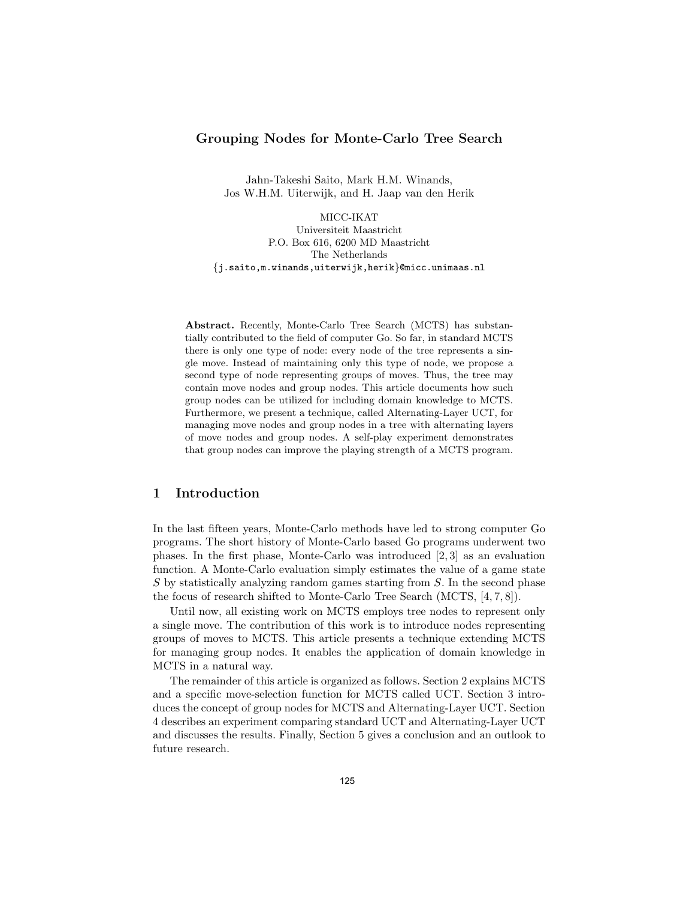### Grouping Nodes for Monte-Carlo Tree Search

Jahn-Takeshi Saito, Mark H.M. Winands, Jos W.H.M. Uiterwijk, and H. Jaap van den Herik

MICC-IKAT Universiteit Maastricht P.O. Box 616, 6200 MD Maastricht The Netherlands {j.saito,m.winands,uiterwijk,herik}@micc.unimaas.nl

Abstract. Recently, Monte-Carlo Tree Search (MCTS) has substantially contributed to the field of computer Go. So far, in standard MCTS there is only one type of node: every node of the tree represents a single move. Instead of maintaining only this type of node, we propose a second type of node representing groups of moves. Thus, the tree may contain move nodes and group nodes. This article documents how such group nodes can be utilized for including domain knowledge to MCTS. Furthermore, we present a technique, called Alternating-Layer UCT, for managing move nodes and group nodes in a tree with alternating layers of move nodes and group nodes. A self-play experiment demonstrates that group nodes can improve the playing strength of a MCTS program.

# 1 Introduction

In the last fifteen years, Monte-Carlo methods have led to strong computer Go programs. The short history of Monte-Carlo based Go programs underwent two phases. In the first phase, Monte-Carlo was introduced [2, 3] as an evaluation function. A Monte-Carlo evaluation simply estimates the value of a game state S by statistically analyzing random games starting from S. In the second phase the focus of research shifted to Monte-Carlo Tree Search (MCTS, [4, 7, 8]).

Until now, all existing work on MCTS employs tree nodes to represent only a single move. The contribution of this work is to introduce nodes representing groups of moves to MCTS. This article presents a technique extending MCTS for managing group nodes. It enables the application of domain knowledge in MCTS in a natural way.

The remainder of this article is organized as follows. Section 2 explains MCTS and a specific move-selection function for MCTS called UCT. Section 3 introduces the concept of group nodes for MCTS and Alternating-Layer UCT. Section 4 describes an experiment comparing standard UCT and Alternating-Layer UCT and discusses the results. Finally, Section 5 gives a conclusion and an outlook to future research.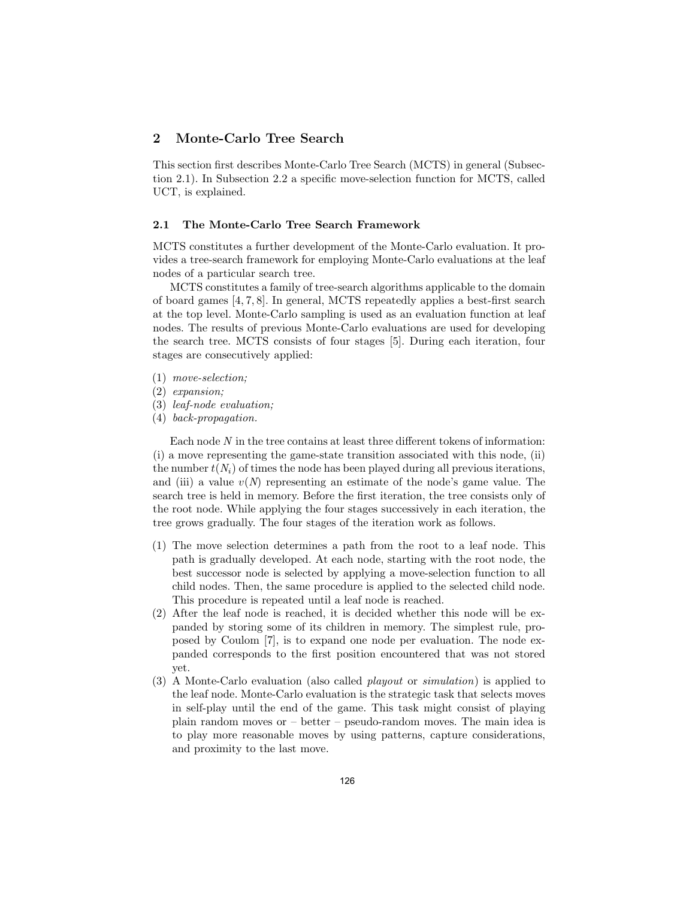## 2 Monte-Carlo Tree Search

This section first describes Monte-Carlo Tree Search (MCTS) in general (Subsection 2.1). In Subsection 2.2 a specific move-selection function for MCTS, called UCT, is explained.

### 2.1 The Monte-Carlo Tree Search Framework

MCTS constitutes a further development of the Monte-Carlo evaluation. It provides a tree-search framework for employing Monte-Carlo evaluations at the leaf nodes of a particular search tree.

MCTS constitutes a family of tree-search algorithms applicable to the domain of board games [4, 7, 8]. In general, MCTS repeatedly applies a best-first search at the top level. Monte-Carlo sampling is used as an evaluation function at leaf nodes. The results of previous Monte-Carlo evaluations are used for developing the search tree. MCTS consists of four stages [5]. During each iteration, four stages are consecutively applied:

- (1) move-selection;
- (2) expansion;
- (3) leaf-node evaluation;
- (4) back-propagation.

Each node N in the tree contains at least three different tokens of information: (i) a move representing the game-state transition associated with this node, (ii) the number  $t(N_i)$  of times the node has been played during all previous iterations, and (iii) a value  $v(N)$  representing an estimate of the node's game value. The search tree is held in memory. Before the first iteration, the tree consists only of the root node. While applying the four stages successively in each iteration, the tree grows gradually. The four stages of the iteration work as follows.

- (1) The move selection determines a path from the root to a leaf node. This path is gradually developed. At each node, starting with the root node, the best successor node is selected by applying a move-selection function to all child nodes. Then, the same procedure is applied to the selected child node. This procedure is repeated until a leaf node is reached.
- (2) After the leaf node is reached, it is decided whether this node will be expanded by storing some of its children in memory. The simplest rule, proposed by Coulom [7], is to expand one node per evaluation. The node expanded corresponds to the first position encountered that was not stored yet.
- (3) A Monte-Carlo evaluation (also called playout or simulation) is applied to the leaf node. Monte-Carlo evaluation is the strategic task that selects moves in self-play until the end of the game. This task might consist of playing plain random moves or – better – pseudo-random moves. The main idea is to play more reasonable moves by using patterns, capture considerations, and proximity to the last move.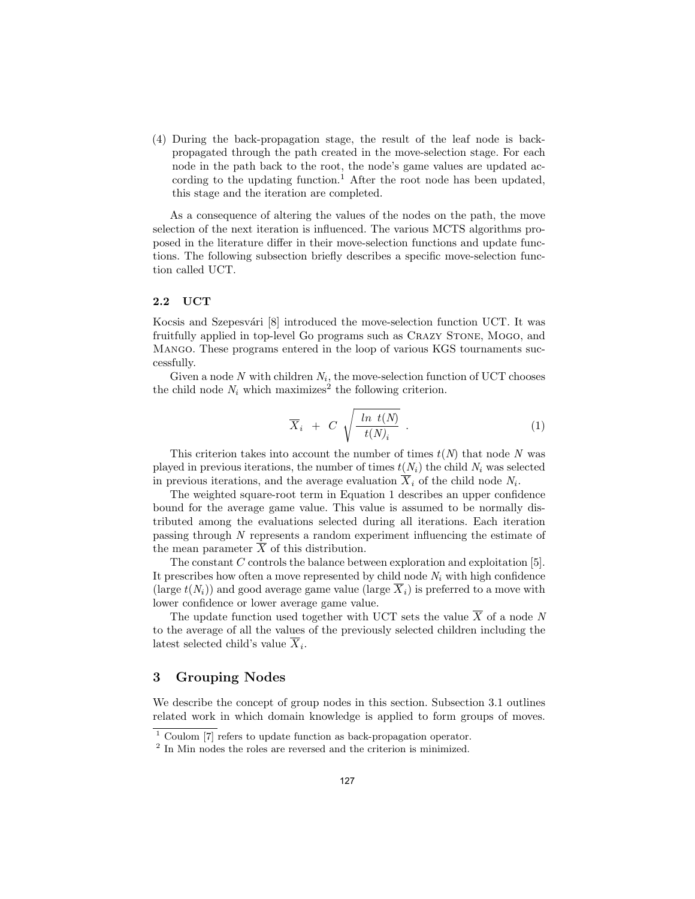(4) During the back-propagation stage, the result of the leaf node is backpropagated through the path created in the move-selection stage. For each node in the path back to the root, the node's game values are updated according to the updating function.<sup>1</sup> After the root node has been updated, this stage and the iteration are completed.

As a consequence of altering the values of the nodes on the path, the move selection of the next iteration is influenced. The various MCTS algorithms proposed in the literature differ in their move-selection functions and update functions. The following subsection briefly describes a specific move-selection function called UCT.

#### 2.2 UCT

Kocsis and Szepesvári  $[8]$  introduced the move-selection function UCT. It was fruitfully applied in top-level Go programs such as CRAZY STONE, MOGO, and Mango. These programs entered in the loop of various KGS tournaments successfully.

Given a node  $N$  with children  $N_i$ , the move-selection function of UCT chooses the child node  $N_i$  which maximizes<sup>2</sup> the following criterion.

$$
\overline{X}_i + C \sqrt{\frac{\ln t(N)}{t(N)_i}} \ . \tag{1}
$$

This criterion takes into account the number of times  $t(N)$  that node N was played in previous iterations, the number of times  $t(N_i)$  the child  $N_i$  was selected in previous iterations, and the average evaluation  $X_i$  of the child node  $N_i$ .

The weighted square-root term in Equation 1 describes an upper confidence bound for the average game value. This value is assumed to be normally distributed among the evaluations selected during all iterations. Each iteration passing through N represents a random experiment influencing the estimate of the mean parameter  $\overline{X}$  of this distribution.

The constant  $C$  controls the balance between exploration and exploitation  $[5]$ . It prescribes how often a move represented by child node  $N_i$  with high confidence (large  $t(N_i)$ ) and good average game value (large  $\overline{X}_i$ ) is preferred to a move with lower confidence or lower average game value.

The update function used together with UCT sets the value  $\overline{X}$  of a node  $\overline{N}$ to the average of all the values of the previously selected children including the latest selected child's value  $X_i$ .

### 3 Grouping Nodes

We describe the concept of group nodes in this section. Subsection 3.1 outlines related work in which domain knowledge is applied to form groups of moves.

 $1$  Coulom [7] refers to update function as back-propagation operator.

<sup>2</sup> In Min nodes the roles are reversed and the criterion is minimized.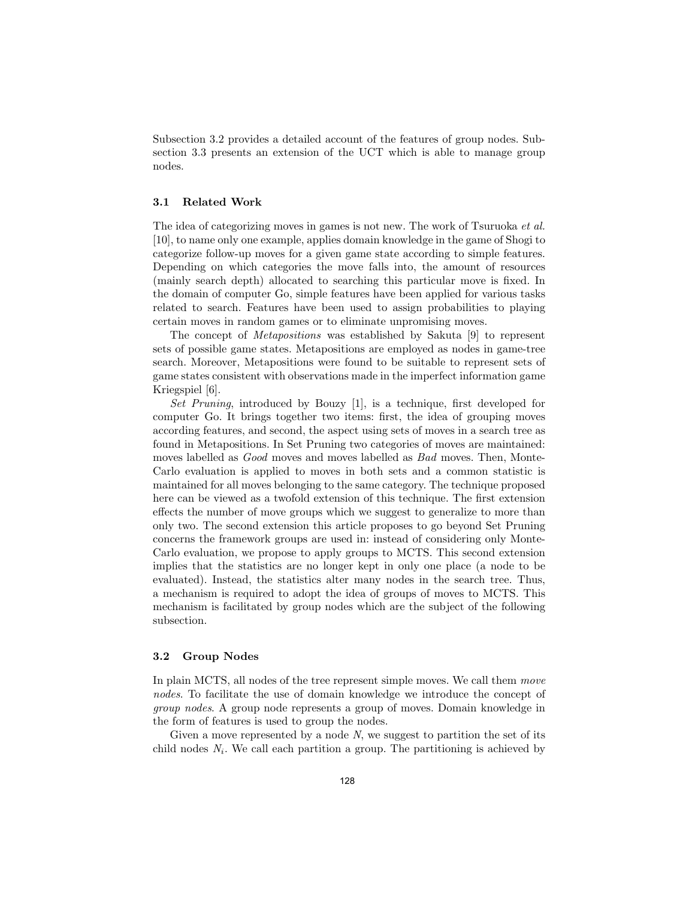Subsection 3.2 provides a detailed account of the features of group nodes. Subsection 3.3 presents an extension of the UCT which is able to manage group nodes.

### 3.1 Related Work

The idea of categorizing moves in games is not new. The work of Tsuruoka et al. [10], to name only one example, applies domain knowledge in the game of Shogi to categorize follow-up moves for a given game state according to simple features. Depending on which categories the move falls into, the amount of resources (mainly search depth) allocated to searching this particular move is fixed. In the domain of computer Go, simple features have been applied for various tasks related to search. Features have been used to assign probabilities to playing certain moves in random games or to eliminate unpromising moves.

The concept of Metapositions was established by Sakuta [9] to represent sets of possible game states. Metapositions are employed as nodes in game-tree search. Moreover, Metapositions were found to be suitable to represent sets of game states consistent with observations made in the imperfect information game Kriegspiel [6].

Set Pruning, introduced by Bouzy [1], is a technique, first developed for computer Go. It brings together two items: first, the idea of grouping moves according features, and second, the aspect using sets of moves in a search tree as found in Metapositions. In Set Pruning two categories of moves are maintained: moves labelled as Good moves and moves labelled as Bad moves. Then, Monte-Carlo evaluation is applied to moves in both sets and a common statistic is maintained for all moves belonging to the same category. The technique proposed here can be viewed as a twofold extension of this technique. The first extension effects the number of move groups which we suggest to generalize to more than only two. The second extension this article proposes to go beyond Set Pruning concerns the framework groups are used in: instead of considering only Monte-Carlo evaluation, we propose to apply groups to MCTS. This second extension implies that the statistics are no longer kept in only one place (a node to be evaluated). Instead, the statistics alter many nodes in the search tree. Thus, a mechanism is required to adopt the idea of groups of moves to MCTS. This mechanism is facilitated by group nodes which are the subject of the following subsection.

### 3.2 Group Nodes

In plain MCTS, all nodes of the tree represent simple moves. We call them move nodes. To facilitate the use of domain knowledge we introduce the concept of group nodes. A group node represents a group of moves. Domain knowledge in the form of features is used to group the nodes.

Given a move represented by a node  $N$ , we suggest to partition the set of its child nodes  $N_i$ . We call each partition a group. The partitioning is achieved by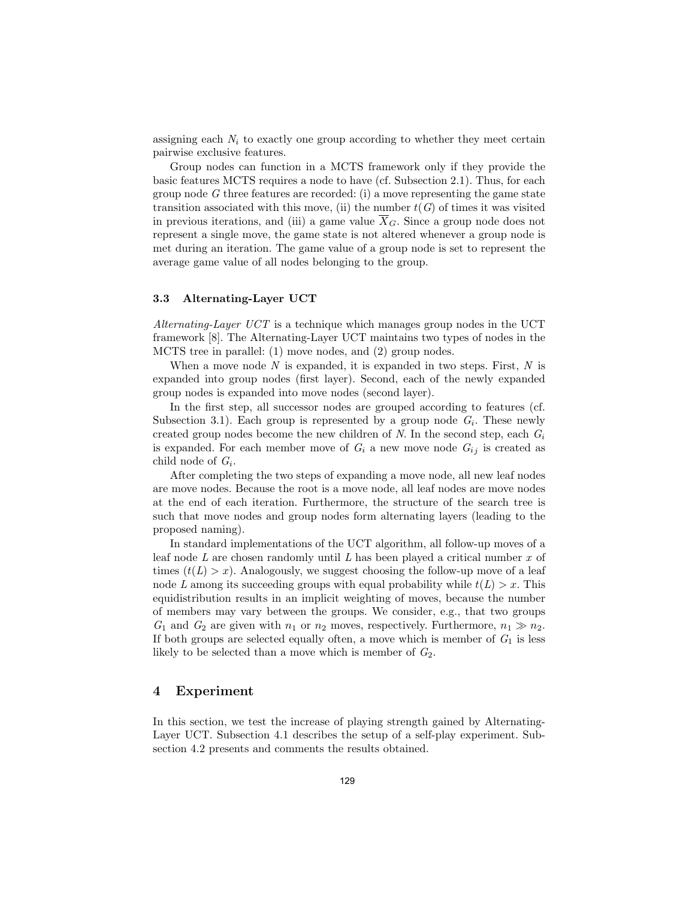assigning each  $N_i$  to exactly one group according to whether they meet certain pairwise exclusive features.

Group nodes can function in a MCTS framework only if they provide the basic features MCTS requires a node to have (cf. Subsection 2.1). Thus, for each group node  $G$  three features are recorded: (i) a move representing the game state transition associated with this move, (ii) the number  $t(G)$  of times it was visited in previous iterations, and (iii) a game value  $\overline{X}_G$ . Since a group node does not represent a single move, the game state is not altered whenever a group node is met during an iteration. The game value of a group node is set to represent the average game value of all nodes belonging to the group.

### 3.3 Alternating-Layer UCT

Alternating-Layer UCT is a technique which manages group nodes in the UCT framework [8]. The Alternating-Layer UCT maintains two types of nodes in the MCTS tree in parallel: (1) move nodes, and (2) group nodes.

When a move node  $N$  is expanded, it is expanded in two steps. First,  $N$  is expanded into group nodes (first layer). Second, each of the newly expanded group nodes is expanded into move nodes (second layer).

In the first step, all successor nodes are grouped according to features (cf. Subsection 3.1). Each group is represented by a group node  $G_i$ . These newly created group nodes become the new children of N. In the second step, each  $G_i$ is expanded. For each member move of  $G_i$  a new move node  $G_{ij}$  is created as child node of  $G_i$ .

After completing the two steps of expanding a move node, all new leaf nodes are move nodes. Because the root is a move node, all leaf nodes are move nodes at the end of each iteration. Furthermore, the structure of the search tree is such that move nodes and group nodes form alternating layers (leading to the proposed naming).

In standard implementations of the UCT algorithm, all follow-up moves of a leaf node  $L$  are chosen randomly until  $L$  has been played a critical number  $x$  of times  $(t(L) > x)$ . Analogously, we suggest choosing the follow-up move of a leaf node L among its succeeding groups with equal probability while  $t(L) > x$ . This equidistribution results in an implicit weighting of moves, because the number of members may vary between the groups. We consider, e.g., that two groups  $G_1$  and  $G_2$  are given with  $n_1$  or  $n_2$  moves, respectively. Furthermore,  $n_1 \gg n_2$ . If both groups are selected equally often, a move which is member of  $G_1$  is less likely to be selected than a move which is member of  $G_2$ .

## 4 Experiment

In this section, we test the increase of playing strength gained by Alternating-Layer UCT. Subsection 4.1 describes the setup of a self-play experiment. Subsection 4.2 presents and comments the results obtained.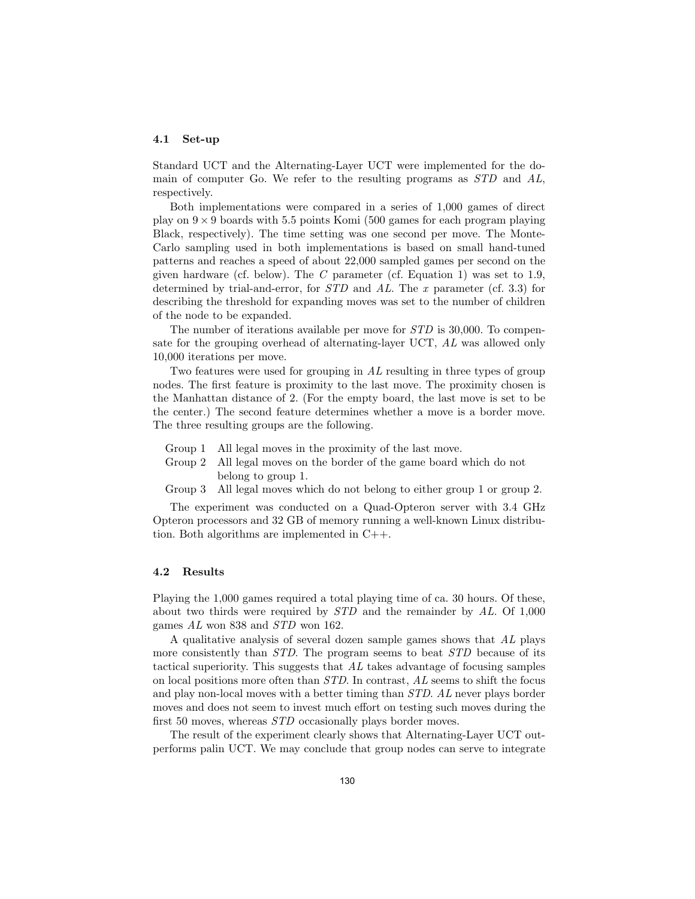#### 4.1 Set-up

Standard UCT and the Alternating-Layer UCT were implemented for the domain of computer Go. We refer to the resulting programs as STD and AL, respectively.

Both implementations were compared in a series of 1,000 games of direct play on  $9 \times 9$  boards with 5.5 points Komi (500 games for each program playing Black, respectively). The time setting was one second per move. The Monte-Carlo sampling used in both implementations is based on small hand-tuned patterns and reaches a speed of about 22,000 sampled games per second on the given hardware (cf. below). The C parameter (cf. Equation 1) was set to 1.9, determined by trial-and-error, for  $STD$  and  $AL$ . The x parameter (cf. 3.3) for describing the threshold for expanding moves was set to the number of children of the node to be expanded.

The number of iterations available per move for STD is 30,000. To compensate for the grouping overhead of alternating-layer UCT, AL was allowed only 10,000 iterations per move.

Two features were used for grouping in  $AL$  resulting in three types of group nodes. The first feature is proximity to the last move. The proximity chosen is the Manhattan distance of 2. (For the empty board, the last move is set to be the center.) The second feature determines whether a move is a border move. The three resulting groups are the following.

- Group 1 All legal moves in the proximity of the last move.
- Group 2 All legal moves on the border of the game board which do not belong to group 1.
- Group 3 All legal moves which do not belong to either group 1 or group 2.

The experiment was conducted on a Quad-Opteron server with 3.4 GHz Opteron processors and 32 GB of memory running a well-known Linux distribution. Both algorithms are implemented in C++.

#### 4.2 Results

Playing the 1,000 games required a total playing time of ca. 30 hours. Of these, about two thirds were required by STD and the remainder by AL. Of 1,000 games AL won 838 and STD won 162.

A qualitative analysis of several dozen sample games shows that AL plays more consistently than *STD*. The program seems to beat *STD* because of its tactical superiority. This suggests that AL takes advantage of focusing samples on local positions more often than STD. In contrast, AL seems to shift the focus and play non-local moves with a better timing than STD. AL never plays border moves and does not seem to invest much effort on testing such moves during the first 50 moves, whereas *STD* occasionally plays border moves.

The result of the experiment clearly shows that Alternating-Layer UCT outperforms palin UCT. We may conclude that group nodes can serve to integrate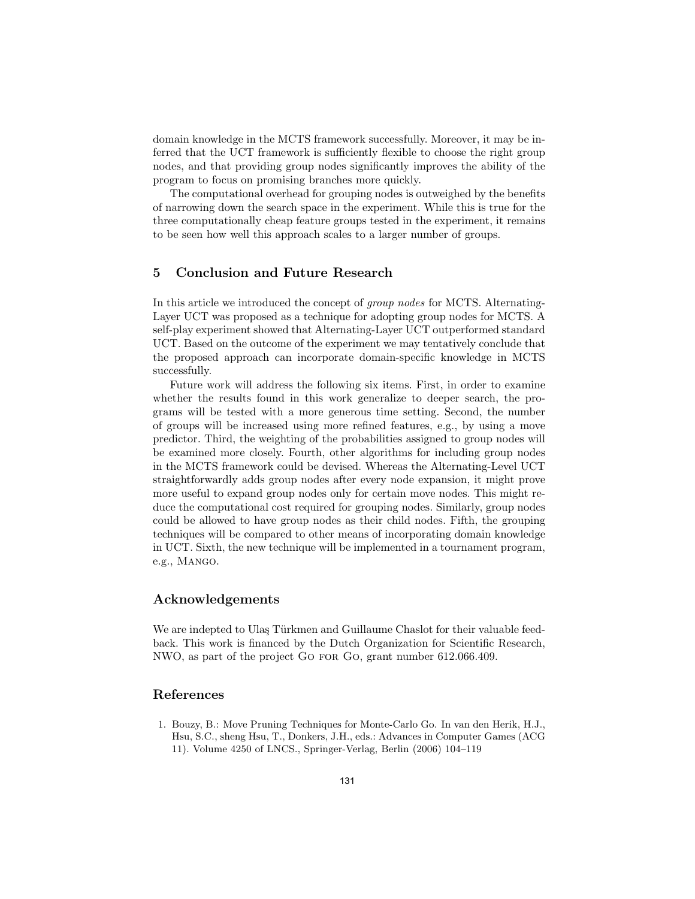domain knowledge in the MCTS framework successfully. Moreover, it may be inferred that the UCT framework is sufficiently flexible to choose the right group nodes, and that providing group nodes significantly improves the ability of the program to focus on promising branches more quickly.

The computational overhead for grouping nodes is outweighed by the benefits of narrowing down the search space in the experiment. While this is true for the three computationally cheap feature groups tested in the experiment, it remains to be seen how well this approach scales to a larger number of groups.

## 5 Conclusion and Future Research

In this article we introduced the concept of group nodes for MCTS. Alternating-Layer UCT was proposed as a technique for adopting group nodes for MCTS. A self-play experiment showed that Alternating-Layer UCT outperformed standard UCT. Based on the outcome of the experiment we may tentatively conclude that the proposed approach can incorporate domain-specific knowledge in MCTS successfully.

Future work will address the following six items. First, in order to examine whether the results found in this work generalize to deeper search, the programs will be tested with a more generous time setting. Second, the number of groups will be increased using more refined features, e.g., by using a move predictor. Third, the weighting of the probabilities assigned to group nodes will be examined more closely. Fourth, other algorithms for including group nodes in the MCTS framework could be devised. Whereas the Alternating-Level UCT straightforwardly adds group nodes after every node expansion, it might prove more useful to expand group nodes only for certain move nodes. This might reduce the computational cost required for grouping nodes. Similarly, group nodes could be allowed to have group nodes as their child nodes. Fifth, the grouping techniques will be compared to other means of incorporating domain knowledge in UCT. Sixth, the new technique will be implemented in a tournament program, e.g., Mango.

## Acknowledgements

We are indepted to Ulaş Türkmen and Guillaume Chaslot for their valuable feedback. This work is financed by the Dutch Organization for Scientific Research, NWO, as part of the project Go for Go, grant number 612.066.409.

# References

1. Bouzy, B.: Move Pruning Techniques for Monte-Carlo Go. In van den Herik, H.J., Hsu, S.C., sheng Hsu, T., Donkers, J.H., eds.: Advances in Computer Games (ACG 11). Volume 4250 of LNCS., Springer-Verlag, Berlin (2006) 104–119